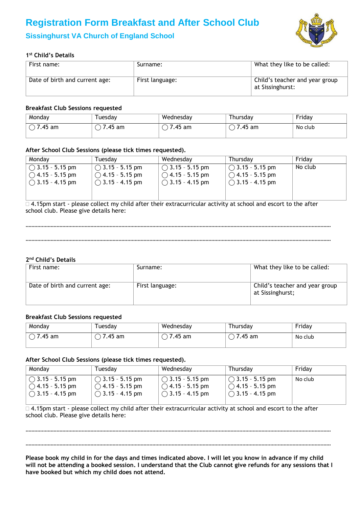# **Registration Form Breakfast and After School Club**



# **Sissinghurst VA Church of England School**

# **1 st Child's Details**

| First name:                    | Surname:        | What they like to be called:                       |
|--------------------------------|-----------------|----------------------------------------------------|
| Date of birth and current age: | First language: | Child's teacher and year group<br>at Sissinghurst: |

#### **Breakfast Club Sessions requested**

| Monday  | uesdav    | Wednesday | ⊺hursdav | Friday  |
|---------|-----------|-----------|----------|---------|
| 7.45 am | am<br>.45 | am<br>.45 | 7.45 am  | No club |

### **After School Club Sessions (please tick times requested).**

| Monday                    | Tuesdav                   | Wednesdav                 | Thursday                  | Fridav  |
|---------------------------|---------------------------|---------------------------|---------------------------|---------|
| $\circ$ 3.15 - 5.15 pm    | $\bigcirc$ 3.15 - 5.15 pm | $\bigcirc$ 3.15 - 5.15 pm | $\cap$ 3.15 - 5.15 pm     | No club |
| $\bigcirc$ 4.15 - 5.15 pm | $\bigcirc$ 4.15 - 5.15 pm | $\bigcirc$ 4.15 - 5.15 pm | $\bigcirc$ 4.15 - 5.15 pm |         |
| $\bigcap$ 3.15 - 4.15 pm  | $\bigcirc$ 3.15 - 4.15 pm | $\bigcirc$ 3.15 - 4.15 pm | $\bigcirc$ 3.15 - 4.15 pm |         |

□ 4.15pm start - please collect my child after their extracurricular activity at school and escort to the after school club. Please give details here:

#### ………………………………………………………………………………………………………………………………………………………………………………………

………………………………………………………………………………………………………………………………………………………………………………………

# **2 nd Child's Details**

| First name:                    | Surname:        | What they like to be called:                       |
|--------------------------------|-----------------|----------------------------------------------------|
| Date of birth and current age: | First language: | Child's teacher and year group<br>at Sissinghurst; |

#### **Breakfast Club Sessions requested**

| Monday  | Tuesdav | Wednesday | Thursday | Friday  |
|---------|---------|-----------|----------|---------|
| 7.45 am | .45 am  | .45<br>am | 7.45 am  | No club |

#### **After School Club Sessions (please tick times requested).**

| Mondav                                         | Tuesdav                   | Wednesday                 | Thursday                  | Friday  |
|------------------------------------------------|---------------------------|---------------------------|---------------------------|---------|
| $\overline{1}$ ( $\overline{)}$ 3.15 - 5.15 pm | $\bigcirc$ 3.15 - 5.15 pm | $\bigcirc$ 3.15 - 5.15 pm | $\circ$ 3.15 - 5.15 pm    | No club |
| $\bigcirc$ 4.15 - 5.15 pm                      | $\bigcirc$ 4.15 - 5.15 pm | $\bigcirc$ 4.15 - 5.15 pm | $\bigcirc$ 4.15 - 5.15 pm |         |
| $\bigcirc$ 3.15 - 4.15 pm                      | $\bigcirc$ 3.15 - 4.15 pm | $\bigcirc$ 3.15 - 4.15 pm | $\bigcirc$ 3.15 - 4.15 pm |         |

□ 4.15pm start - please collect my child after their extracurricular activity at school and escort to the after school club. Please give details here:

………………………………………………………………………………………………………………………………………………………………………………………

………………………………………………………………………………………………………………………………………………………………………………………

**Please book my child in for the days and times indicated above. I will let you know in advance if my child will not be attending a booked session. I understand that the Club cannot give refunds for any sessions that I have booked but which my child does not attend.**